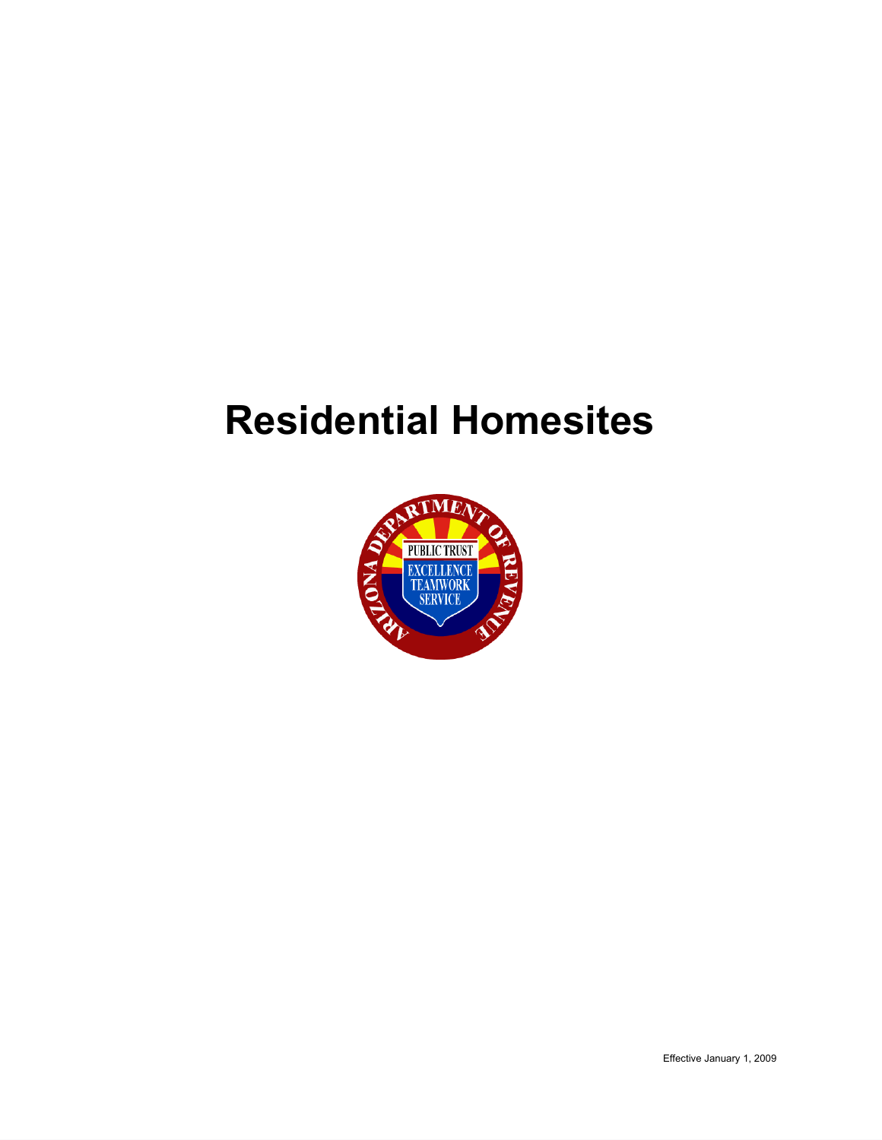# **Residential Homesites**

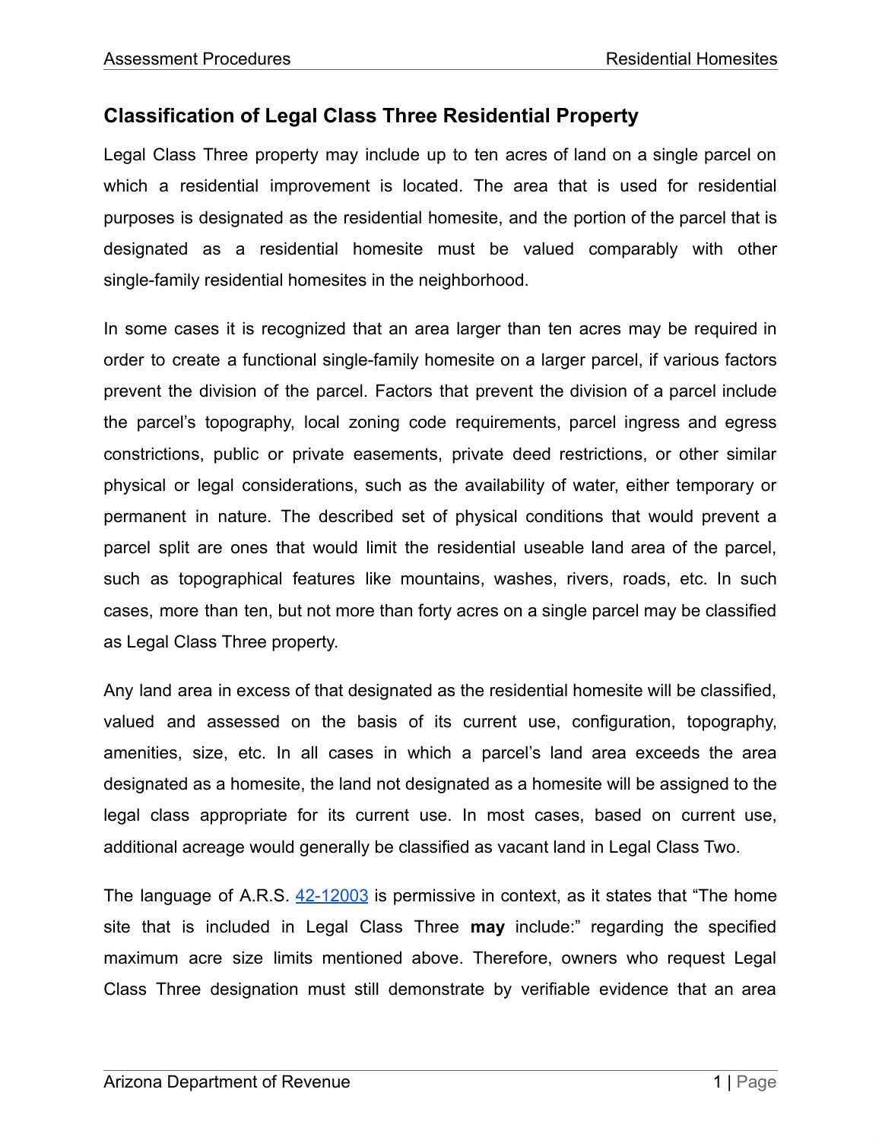## **Classification of Legal Class Three Residential Property**

Legal Class Three property may include up to ten acres of land on a single parcel on which a residential improvement is located. The area that is used for residential purposes is designated as the residential homesite, and the portion of the parcel that is designated as a residential homesite must be valued comparably with other single-family residential homesites in the neighborhood.

In some cases it is recognized that an area larger than ten acres may be required in order to create a functional single-family homesite on a larger parcel, if various factors prevent the division of the parcel. Factors that prevent the division of a parcel include the parcel's topography, local zoning code requirements, parcel ingress and egress constrictions, public or private easements, private deed restrictions, or other similar physical or legal considerations, such as the availability of water, either temporary or permanent in nature. The described set of physical conditions that would prevent a parcel split are ones that would limit the residential useable land area of the parcel, such as topographical features like mountains, washes, rivers, roads, etc. In such cases, more than ten, but not more than forty acres on a single parcel may be classified as Legal Class Three property.

Any land area in excess of that designated as the residential homesite will be classified, valued and assessed on the basis of its current use, configuration, topography, amenities, size, etc. In all cases in which a parcel's land area exceeds the area designated as a homesite, the land not designated as a homesite will be assigned to the legal class appropriate for its current use. In most cases, based on current use, additional acreage would generally be classified as vacant land in Legal Class Two.

The language of A.R.S. [42-12003](https://www.azleg.gov/viewDocument/?docName=http://www.azleg.gov/ars/42/12003.htm) is permissive in context, as it states that "The home site that is included in Legal Class Three **may** include:" regarding the specified maximum acre size limits mentioned above. Therefore, owners who request Legal Class Three designation must still demonstrate by verifiable evidence that an area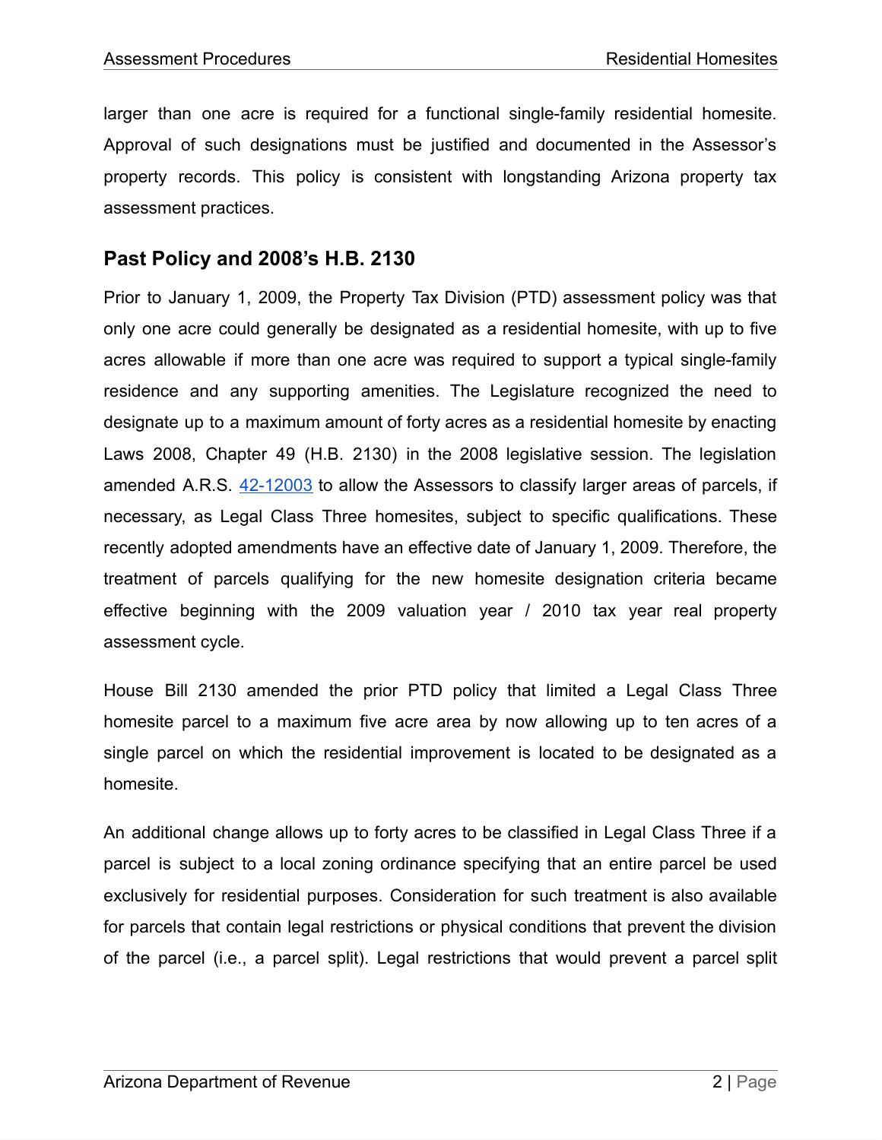larger than one acre is required for a functional single-family residential homesite. Approval of such designations must be justified and documented in the Assessor's property records. This policy is consistent with longstanding Arizona property tax assessment practices.

#### **Past Policy and 2008's H.B. 2130**

Prior to January 1, 2009, the Property Tax Division (PTD) assessment policy was that only one acre could generally be designated as a residential homesite, with up to five acres allowable if more than one acre was required to support a typical single-family residence and any supporting amenities. The Legislature recognized the need to designate up to a maximum amount of forty acres as a residential homesite by enacting Laws 2008, Chapter 49 (H.B. 2130) in the 2008 legislative session. The legislation amended A.R.S. [42-12003](https://www.azleg.gov/viewDocument/?docName=http://www.azleg.gov/ars/42/12003.htm) to allow the Assessors to classify larger areas of parcels, if necessary, as Legal Class Three homesites, subject to specific qualifications. These recently adopted amendments have an effective date of January 1, 2009. Therefore, the treatment of parcels qualifying for the new homesite designation criteria became effective beginning with the 2009 valuation year / 2010 tax year real property assessment cycle.

House Bill 2130 amended the prior PTD policy that limited a Legal Class Three homesite parcel to a maximum five acre area by now allowing up to ten acres of a single parcel on which the residential improvement is located to be designated as a homesite.

An additional change allows up to forty acres to be classified in Legal Class Three if a parcel is subject to a local zoning ordinance specifying that an entire parcel be used exclusively for residential purposes. Consideration for such treatment is also available for parcels that contain legal restrictions or physical conditions that prevent the division of the parcel (i.e., a parcel split). Legal restrictions that would prevent a parcel split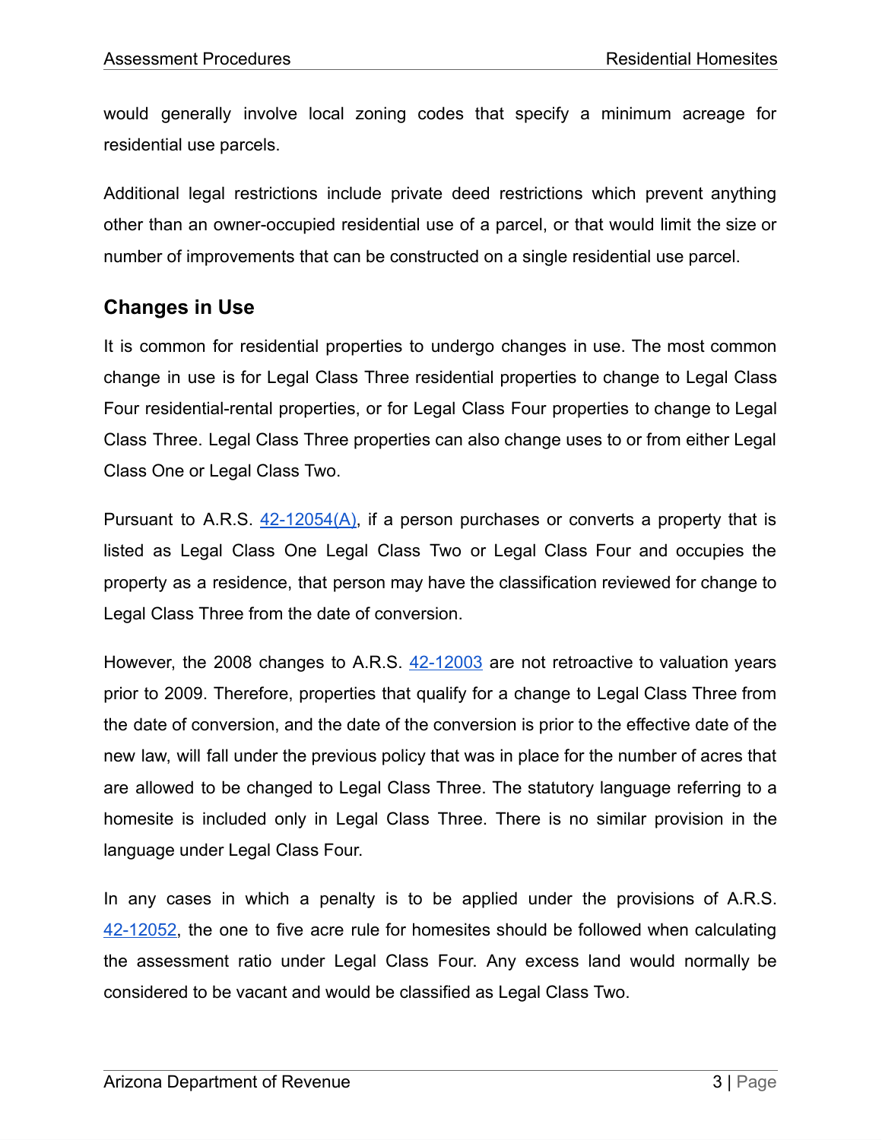would generally involve local zoning codes that specify a minimum acreage for residential use parcels.

Additional legal restrictions include private deed restrictions which prevent anything other than an owner-occupied residential use of a parcel, or that would limit the size or number of improvements that can be constructed on a single residential use parcel.

# **Changes in Use**

It is common for residential properties to undergo changes in use. The most common change in use is for Legal Class Three residential properties to change to Legal Class Four residential-rental properties, or for Legal Class Four properties to change to Legal Class Three. Legal Class Three properties can also change uses to or from either Legal Class One or Legal Class Two.

Pursuant to A.R.S.  $42-12054(A)$ , if a person purchases or converts a property that is listed as Legal Class One Legal Class Two or Legal Class Four and occupies the property as a residence, that person may have the classification reviewed for change to Legal Class Three from the date of conversion.

However, the 2008 changes to A.R.S.  $42-12003$  are not retroactive to valuation years prior to 2009. Therefore, properties that qualify for a change to Legal Class Three from the date of conversion, and the date of the conversion is prior to the effective date of the new law, will fall under the previous policy that was in place for the number of acres that are allowed to be changed to Legal Class Three. The statutory language referring to a homesite is included only in Legal Class Three. There is no similar provision in the language under Legal Class Four.

In any cases in which a penalty is to be applied under the provisions of A.R.S. [42-12052,](https://www.azleg.gov/viewDocument/?docName=http://www.azleg.gov/ars/42/12052.htm) the one to five acre rule for homesites should be followed when calculating the assessment ratio under Legal Class Four. Any excess land would normally be considered to be vacant and would be classified as Legal Class Two.